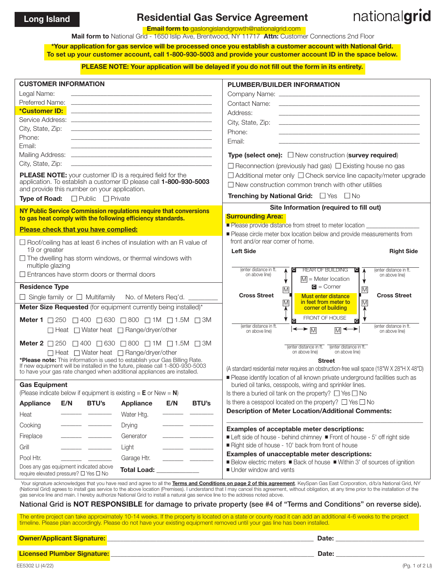## Long Island **Residential Gas Service Agreement**

## nationalgrid

**Email form to** gaslongislandgrowth@nationalgrid.com

Mail form to National Grid - 1650 Islip Ave, Brentwood, NY 11717 Attn: Customer Connections 2nd Floor

\*Your application for gas service will be processed once you establish a customer account with National Grid. To set up your customer account, call 1-800-930-5003 and provide your customer account ID in the space below.

PLEASE NOTE: Your application will be delayed if you do not fill out the form in its entirety.

| <b>CUSTOMER INFORMATION</b><br>Legal Name:<br>Preferred Name:<br>*Customer ID:<br>City, State, Zip:<br>Phone:<br>Email:<br>City, State, Zip:<br><b>PLEASE NOTE:</b> your customer ID is a required field for the<br>application. To establish a customer ID please call 1-800-930-5003<br>and provide this number on your application.<br><b>Type of Road:</b> $\Box$ Public $\Box$ Private                                                                                                                     | <u> 1989 - Johann Harry Harry Harry Harry Harry Harry Harry Harry Harry Harry Harry Harry Harry Harry Harry Harry</u><br>the control of the control of the control of the control of the control of the control of<br>the contract of the contract of the contract of the contract of the contract of the contract of<br>the contract of the contract of the contract of the contract of the contract of the contract of |              | <b>PLUMBER/BUILDER INFORMATION</b><br>Address:<br>the control of the control of the control of the control of the control of the control of the control of the control of the control of the control of the control of the control of the control of the control of the control<br>City, State, Zip:<br>Phone:<br>Email:<br>the control of the control of the control of the control of the control of the control of<br><b>Type (select one):</b> $\Box$ New construction (survey required)<br>$\Box$ Reconnection (previously had gas) $\Box$ Existing house no gas<br>$\Box$ Additional meter only $\Box$ Check service line capacity/meter upgrade<br>$\Box$ New construction common trench with other utilities<br>Trenching by National Grid: Ves DNo |  |
|-----------------------------------------------------------------------------------------------------------------------------------------------------------------------------------------------------------------------------------------------------------------------------------------------------------------------------------------------------------------------------------------------------------------------------------------------------------------------------------------------------------------|--------------------------------------------------------------------------------------------------------------------------------------------------------------------------------------------------------------------------------------------------------------------------------------------------------------------------------------------------------------------------------------------------------------------------|--------------|-------------------------------------------------------------------------------------------------------------------------------------------------------------------------------------------------------------------------------------------------------------------------------------------------------------------------------------------------------------------------------------------------------------------------------------------------------------------------------------------------------------------------------------------------------------------------------------------------------------------------------------------------------------------------------------------------------------------------------------------------------------|--|
| NY Public Service Commission regulations require that conversions                                                                                                                                                                                                                                                                                                                                                                                                                                               |                                                                                                                                                                                                                                                                                                                                                                                                                          |              | Site Information (required to fill out)                                                                                                                                                                                                                                                                                                                                                                                                                                                                                                                                                                                                                                                                                                                     |  |
| to gas heat comply with the following efficiency standards.<br>Please check that you have complied:                                                                                                                                                                                                                                                                                                                                                                                                             |                                                                                                                                                                                                                                                                                                                                                                                                                          |              | <b>Surrounding Area:</b><br>Please provide distance from street to meter location                                                                                                                                                                                                                                                                                                                                                                                                                                                                                                                                                                                                                                                                           |  |
|                                                                                                                                                                                                                                                                                                                                                                                                                                                                                                                 |                                                                                                                                                                                                                                                                                                                                                                                                                          |              | Please circle meter box location below and provide measurements from<br>front and/or rear corner of home.                                                                                                                                                                                                                                                                                                                                                                                                                                                                                                                                                                                                                                                   |  |
| $\Box$ Roof/ceiling has at least 6 inches of insulation with an R value of<br>19 or greater<br><b>Left Side</b><br>$\Box$ The dwelling has storm windows, or thermal windows with<br>multiple glazing                                                                                                                                                                                                                                                                                                           |                                                                                                                                                                                                                                                                                                                                                                                                                          |              | <b>Right Side</b>                                                                                                                                                                                                                                                                                                                                                                                                                                                                                                                                                                                                                                                                                                                                           |  |
| $\Box$ Entrances have storm doors or thermal doors                                                                                                                                                                                                                                                                                                                                                                                                                                                              |                                                                                                                                                                                                                                                                                                                                                                                                                          |              | <b>REAR OF BUILDING</b><br>(enter distance in ft.<br>$ {\bf c} $<br>TC.<br>(enter distance in ft.<br>A<br>$\lambda$<br>on above line)<br>on above line)<br>$\overline{M}$ = Meter location                                                                                                                                                                                                                                                                                                                                                                                                                                                                                                                                                                  |  |
| <b>Residence Type</b>                                                                                                                                                                                                                                                                                                                                                                                                                                                                                           |                                                                                                                                                                                                                                                                                                                                                                                                                          |              | $\bullet$ = Corner<br>$\overline{\mathsf{M}}$<br>M                                                                                                                                                                                                                                                                                                                                                                                                                                                                                                                                                                                                                                                                                                          |  |
| □ Single family or □ Multifamily No. of Meters Req'd. _____                                                                                                                                                                                                                                                                                                                                                                                                                                                     |                                                                                                                                                                                                                                                                                                                                                                                                                          |              | <b>Cross Street</b><br><b>Cross Street</b><br><b>Must enter distance</b><br>in feet from meter to<br>$\overline{\mathsf{M}}$<br>$\overline{\mathsf{M}}$                                                                                                                                                                                                                                                                                                                                                                                                                                                                                                                                                                                                     |  |
| Meter Size Requested (for equipment currently being installed)*                                                                                                                                                                                                                                                                                                                                                                                                                                                 |                                                                                                                                                                                                                                                                                                                                                                                                                          |              | corner of building                                                                                                                                                                                                                                                                                                                                                                                                                                                                                                                                                                                                                                                                                                                                          |  |
| Meter 1 250 250 300 580 380 21M 21.5M 3M                                                                                                                                                                                                                                                                                                                                                                                                                                                                        |                                                                                                                                                                                                                                                                                                                                                                                                                          |              | FRONT OF HOUSE<br>$\overline{c}$                                                                                                                                                                                                                                                                                                                                                                                                                                                                                                                                                                                                                                                                                                                            |  |
|                                                                                                                                                                                                                                                                                                                                                                                                                                                                                                                 | (enter distance in ft.<br>(enter distance in ft.<br>$\left \leftarrow\right\rangle$ $\left \leftarrow\right\rangle$<br>▸<br>□ Heat □ Water heat □ Range/dryer/other<br>⋒⋖<br>on above line)<br>on above line)                                                                                                                                                                                                            |              |                                                                                                                                                                                                                                                                                                                                                                                                                                                                                                                                                                                                                                                                                                                                                             |  |
| Meter 2 250 250 300 5630 3800 21M 21.5M 3M<br>(enter distance in ft. (enter distance in ft.                                                                                                                                                                                                                                                                                                                                                                                                                     |                                                                                                                                                                                                                                                                                                                                                                                                                          |              |                                                                                                                                                                                                                                                                                                                                                                                                                                                                                                                                                                                                                                                                                                                                                             |  |
| $\Box$ Heat $\Box$ Water heat $\Box$ Range/dryer/other                                                                                                                                                                                                                                                                                                                                                                                                                                                          |                                                                                                                                                                                                                                                                                                                                                                                                                          |              | on above line)<br>on above line)                                                                                                                                                                                                                                                                                                                                                                                                                                                                                                                                                                                                                                                                                                                            |  |
| *Please note: This information is used to establish your Gas Billing Rate.<br><b>Street</b><br>If new equipment will be installed in the future, please call 1-800-930-5003<br>to have your gas rate changed when additional appliances are installed.                                                                                                                                                                                                                                                          |                                                                                                                                                                                                                                                                                                                                                                                                                          |              | (A standard residential meter requires an obstruction-free wall space (18"W X 28"H X 48"D)                                                                                                                                                                                                                                                                                                                                                                                                                                                                                                                                                                                                                                                                  |  |
|                                                                                                                                                                                                                                                                                                                                                                                                                                                                                                                 |                                                                                                                                                                                                                                                                                                                                                                                                                          |              | Please identify location of all known private underground facilities such as                                                                                                                                                                                                                                                                                                                                                                                                                                                                                                                                                                                                                                                                                |  |
| <b>Gas Equipment</b><br>(Please indicate below if equipment is existing $=$ <b>E</b> or New $=$ <b>N</b> )                                                                                                                                                                                                                                                                                                                                                                                                      |                                                                                                                                                                                                                                                                                                                                                                                                                          |              | buried oil tanks, cesspools, wiring and sprinkler lines.<br>Is there a buried oil tank on the property? $\Box$ Yes $\Box$ No                                                                                                                                                                                                                                                                                                                                                                                                                                                                                                                                                                                                                                |  |
| <b>BTU's</b><br><b>Appliance</b><br>E/N                                                                                                                                                                                                                                                                                                                                                                                                                                                                         | E/N<br><b>Appliance</b>                                                                                                                                                                                                                                                                                                                                                                                                  | <b>BTU's</b> | Is there a cesspool located on the property? $\Box$ Yes $\Box$ No                                                                                                                                                                                                                                                                                                                                                                                                                                                                                                                                                                                                                                                                                           |  |
| Heat                                                                                                                                                                                                                                                                                                                                                                                                                                                                                                            | Water Htg.                                                                                                                                                                                                                                                                                                                                                                                                               |              | <b>Description of Meter Location/Additional Comments:</b>                                                                                                                                                                                                                                                                                                                                                                                                                                                                                                                                                                                                                                                                                                   |  |
| Cooking                                                                                                                                                                                                                                                                                                                                                                                                                                                                                                         | Drying                                                                                                                                                                                                                                                                                                                                                                                                                   |              |                                                                                                                                                                                                                                                                                                                                                                                                                                                                                                                                                                                                                                                                                                                                                             |  |
| Fireplace                                                                                                                                                                                                                                                                                                                                                                                                                                                                                                       | Generator                                                                                                                                                                                                                                                                                                                                                                                                                |              | Examples of acceptable meter descriptions:<br>■ Left side of house - behind chimney ■ Front of house - 5' off right side                                                                                                                                                                                                                                                                                                                                                                                                                                                                                                                                                                                                                                    |  |
| Grill                                                                                                                                                                                                                                                                                                                                                                                                                                                                                                           | Light                                                                                                                                                                                                                                                                                                                                                                                                                    |              | Right side of house - 10' back from front of house                                                                                                                                                                                                                                                                                                                                                                                                                                                                                                                                                                                                                                                                                                          |  |
| Pool Htr.                                                                                                                                                                                                                                                                                                                                                                                                                                                                                                       | Garage Htr.                                                                                                                                                                                                                                                                                                                                                                                                              |              | Examples of unacceptable meter descriptions:                                                                                                                                                                                                                                                                                                                                                                                                                                                                                                                                                                                                                                                                                                                |  |
| Does any gas equipment indicated above<br><b>Total Load:</b><br>require elevated pressure? □ Yes □ No                                                                                                                                                                                                                                                                                                                                                                                                           |                                                                                                                                                                                                                                                                                                                                                                                                                          |              | ■ Below electric meters ■ Back of house ■ Within 3' of sources of ignition<br>Under window and vents                                                                                                                                                                                                                                                                                                                                                                                                                                                                                                                                                                                                                                                        |  |
| Your signature acknowledges that you have read and agree to all the Terms and Conditions on page 2 of this agreement. KeySpan Gas East Corporation, d/b/a National Grid, NY<br>(National Grid) agrees to install gas service to the above location (Premises). I understand that I may cancel this agreement, without obligation, at any time prior to the installation of the<br>gas service line and main. I hereby authorize National Grid to install a natural gas service line to the address noted above. |                                                                                                                                                                                                                                                                                                                                                                                                                          |              |                                                                                                                                                                                                                                                                                                                                                                                                                                                                                                                                                                                                                                                                                                                                                             |  |

## National Grid is NOT RESPONSIBLE for damage to private property (see #4 of "Terms and Conditions" on reverse side).

The entire project can take approximately 10-14 weeks. If the property is located on a state or county road it can add an additional 4-6 weeks to the project timeline. Please plan accordingly. Please do not have your existing equipment removed until your gas line has been installed.

Owner/Applicant Signature: \_\_\_\_\_\_\_\_\_\_\_\_\_\_\_\_\_\_\_\_\_\_\_\_\_\_\_\_\_\_\_\_\_\_\_\_\_\_\_\_\_\_\_\_\_\_\_\_\_\_\_\_\_\_\_\_\_\_\_\_\_\_\_ Date: \_\_\_\_\_\_\_\_\_\_\_\_\_\_\_\_\_\_\_\_\_\_\_\_\_\_\_

Licensed Plumber Signature: \_\_\_\_\_\_\_\_\_\_\_\_\_\_\_\_\_\_\_\_\_\_\_\_\_\_\_\_\_\_\_\_\_\_\_\_\_\_\_\_\_\_\_\_\_\_\_\_\_\_\_\_\_\_\_\_\_\_\_\_\_\_ Date: \_\_\_\_\_\_\_\_\_\_\_\_\_\_\_\_\_\_\_\_\_\_\_\_\_\_\_